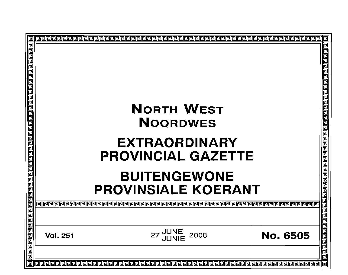|                 | <b>NORTH WEST</b>                                      | खेख बाब बाब बाब बाब बाब बाब बाब बाब बाब |
|-----------------|--------------------------------------------------------|-----------------------------------------|
|                 | <b>NOORDWES</b>                                        |                                         |
|                 | <b>EXTRAORDINARY</b><br><b>PROVINCIAL GAZETTE</b>      |                                         |
|                 | <b>BUITENGEWONE</b><br><b>PROVINSIALE KOERANT</b>      |                                         |
| linne           |                                                        | 민리민민민리                                  |
| <b>Vol. 251</b> | <b>JUNE<br/>JUNIE</b><br>2008<br><b>No. 6505</b><br>27 |                                         |
|                 |                                                        | 리리리리                                    |
| 同               |                                                        |                                         |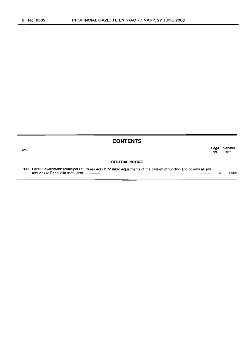|     | <b>CONTENTS</b>                                                                                                  |             |                |
|-----|------------------------------------------------------------------------------------------------------------------|-------------|----------------|
| No. |                                                                                                                  | Page<br>No. | Gazette<br>No. |
|     | <b>GENERAL NOTICE</b>                                                                                            |             |                |
| 386 | Local Government: Municipal Structures Act (117/1998): Adjustments of the division of function and powers as per |             | 6505           |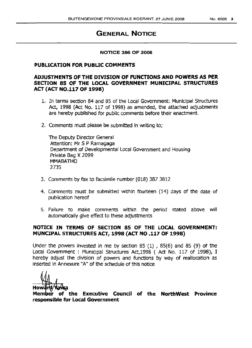# **GENERAL NOTICE**

#### **NOTICE 386 OF 2008**

#### **PUBLICATION FOR PUBUC COMMENTS**

### **ADJUSTMENTS OF THE DIVISION OF FUNCTIONS AND POWERS AS PER SECTION 85 OF THE LOCAL GOVERNMENT MUNICIPAL STRUCTURES ACT (ACT NO.117 OF 1998)**

- 1. In terms section 84 and 85 of the Local Government: Municipal Structures Act, 1998 (Act No. 117 of 1998) as amended, the attached adjustments are hereby published for public comments before their enactment.
- 2. Comments must please be submitted in writing to;

The Deputy Director General Attention: Mr 5 P Ramagaga Department of Developmental Local Government and Housing Private Bag X 2099 MMABATHO 2735

- 3. Comments by fax to facsimile number (018) 387 3812
- 4. Comments must be submitted within fourteen (14) days of the date of publication hereof
- 5. Failure to make comments within the period stated above will automatically give effect to these adjustments

### **NOTICE IN TERMS OF SECTION 85 OF THE LOCAL GOVERNMENT: MUNCIPAL STRUCTURES ACT, 1998 (ACT NO .117 OF 1998)**

Under the powers invested in me by section  $85'(1)$ ,  $85(6)$  and  $85(9)$  of the Local Government : Municipal Structures Act, 1998 ( Act No. 117 of 1998), I hereby adjust the division of powers and functions by way of reallocation as inserted in Annexure "A" of the schedule of this notice

**How:fli'ttJ'l:MAI!:t. Mem er of the Executive Council of the NorthWest Province responsible for Local Government**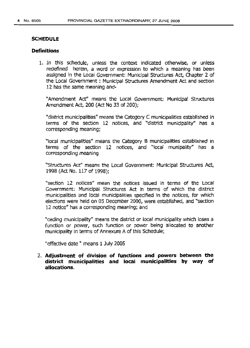#### **SCHEDULE**

#### **Definitions**

1. In this schedule, unless the context indicated otherwise, or unless redefined herein, a word or expression to which a meaning has been assigned in the Local Government: Municipal Structures Act, Chapter 2 of the Local Government : Municipal Structures Amendment Act and section 12 has the same meaning and-

"Amendment Act" means the Local Government: Municipal Structures Amendment Act, 200 (Act No 33 of 200);

"district municipalities" means the Category C municipalities established in terms of the section 12 notices, and "district municipality" has a corresponding meaning;

"local municipalities" means the Category B municipalities established in terms of the section 12 notices, and "local munipality" has a corresponding meaning

"Structures Act" means the Local Government: Municipal Structures Act, 1998 (Act No. 117 of 1998);

"section 12 notices" mean the notices issued in terms of the Local Government: Municipal Structures Act in terms of which the district municipalities and local municipalities specified in the notices, for which elections were held on 05 December 2000, were established, and "section 12 notice" has a corresponding meaning; and

"ceding municipality" means the district or local municipality which loses a function or power, such function or power being allocated to another municipality in terms of Annexure A of this Schedule;

"effective date" means 1 July 2005

2. **Adjustment of division of functions and powers between the district municipalities and local municipalities bV way of allocations.**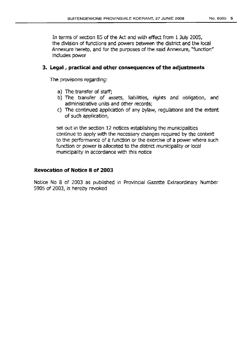In terms of section 85 of the Act and with effect from 1 July 2005, the division of functions and powers between the district and the local Annexure hereto, and for the purposes of the said Annexure, "function" includes power

### **3. Legal, practical and other consequences of the adjustments**

The provisions regarding:

- a) The transfer of staff;
- b) The transfer of assets, liabilities, rights and obligation, and administrative units and other records;
- c) The continued application of any bylaw, regulations and the extent of such application,

set out in the section 12 notices establishing the municipalities continue to apply with the necessary changes required by the context to the performance of a function or the exercise of a power where such function or power is allocated to the district municipality or local municipality in accordance with this notice

### **Revocation of Notice 8 of 2003**

Notice No 8 of 2003 as published in Provincial Gazette Extraordinary Number 5905 of 2003, is hereby revoked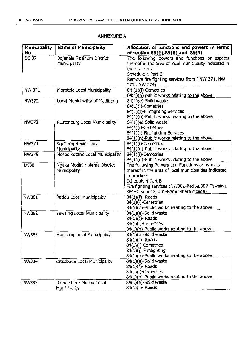## ANNEXURE A

| <b>Municipality</b><br>No | <b>Name of Municipality</b>       | Allocation of functions and powers in terms                                            |
|---------------------------|-----------------------------------|----------------------------------------------------------------------------------------|
| <b>DC 37</b>              | Bojanala Platinum District        | of section $85(1), 85(6)$ and $85(9)$<br>The following powers and functions or aspects |
|                           | Municipality                      | thereof in the area of local municipality indicated in                                 |
|                           |                                   | the brackets:                                                                          |
|                           |                                   | Schedule 4 Part B                                                                      |
|                           |                                   |                                                                                        |
|                           |                                   | Remove fire fighting services from (NW 371, NW<br>375, NW 374)                         |
| NW 371                    | Moretele Local Municipality       | 84 (1)(i) Cemetries                                                                    |
|                           |                                   | 84(1)(n) public works relating to the above                                            |
| <b>NW372</b>              | Local Municipality of Madibeng    | 84(1)(e)-Solid waste                                                                   |
|                           |                                   | 84(1)(i)-Cemetries                                                                     |
|                           |                                   | 84(1)(j)-Firefighting Services                                                         |
|                           |                                   | 84(1)(n)-Public works relating to the above                                            |
| <b>NW373</b>              | Rustenburg Local Municipality     | 84(1)(e)-Solid waste                                                                   |
|                           |                                   | 84(1)(i)-Cemetries                                                                     |
|                           |                                   | 84(1)(j)-Firefighting Services                                                         |
|                           |                                   | 84(1)(n)-Public works relating to the above                                            |
| <b>NW374</b>              | Kgetteng Revier Local             | 84(1)(i)-Cemetries                                                                     |
|                           | <b>Municipality</b>               | 84(1)(n)-Public works relating to the above                                            |
| <b>NW375</b>              | Moses Kotane Local Municipality   | 84(1)(i)-Cemetries                                                                     |
|                           |                                   | $84(1)(n)$ -Public works relating to the above                                         |
| <b>DC38</b>               | Ngaka Modiri Molema District      | The following Powers and Functions or aspects                                          |
|                           | Municipality                      | thereof in the area of local municipalities indicated                                  |
|                           |                                   | in brackets                                                                            |
|                           |                                   | Schedule 4 Part B                                                                      |
|                           |                                   | Fire fighting services (NW381-Ratiou, 382-Tswaing,                                     |
|                           |                                   | 384-Ditsobotla, 385-Ramotshere Moiloa)                                                 |
| NW381                     | Ratiou Local Municipality         | 84(1)(f)- Roads                                                                        |
|                           |                                   | 84(1)(i)-Cemetries                                                                     |
|                           |                                   | $84(1)(n)$ -Public works relating to the above                                         |
| <b>NW382</b>              | <b>Tswaing Local Municipality</b> | 84(1)(e)-Solid waste                                                                   |
|                           |                                   | 84(1)(f)-Roads                                                                         |
|                           |                                   | 84(1)(i)-Cemetries                                                                     |
|                           |                                   | 84(1)(n)-Public works relating to the above                                            |
| <b>NW383</b>              | Mafikeng Local Municipality       | 84(1)(e)-Solid waste                                                                   |
|                           |                                   | 84(1)(f)-Roads                                                                         |
|                           |                                   | 84(1)(i)-Cemetries                                                                     |
|                           |                                   | 84(1)(j)-Firefighting                                                                  |
|                           |                                   | 84(1)(n)-Public works relating to the above                                            |
| NW384                     | Ditsobotla Local Municipality     | 84(1)(e)-Solid waste                                                                   |
|                           |                                   | 84(1)(f)-Roads                                                                         |
|                           |                                   | 84(1)(i)-Cemetries                                                                     |
|                           |                                   | 84(1)(n)-Public works relating to the above                                            |
| <b>NW385</b>              | Ramotshere Moiloa Local           | 84(1)(e)-Solid waste                                                                   |
|                           | <b>Municipality</b>               | 84(1)(f)-Roads                                                                         |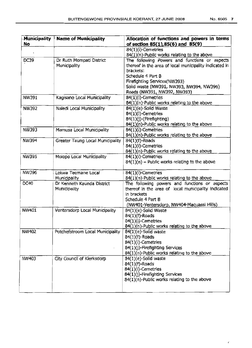$\pmb{\zeta}$ 

| <b>Municipality</b><br>No | <b>Name of Municipality</b>      | Allocation of functions and powers in terms<br>of section 85(1), 85(6) and 85(9) |
|---------------------------|----------------------------------|----------------------------------------------------------------------------------|
|                           |                                  | 84(1)(i)-Cemetries                                                               |
|                           |                                  | 84(1)(n)-Public works relating to the above                                      |
| DC39                      | Dr Ruth Mompati District         | The following Powers and functions or aspects                                    |
|                           | Municipality                     | thereof in the area of local municipality indicated in                           |
|                           |                                  | brackets:                                                                        |
|                           |                                  | Schedule 4 Part B                                                                |
|                           |                                  | Firefighting Services(NW393)                                                     |
|                           |                                  | Solid waste (NW391, NW393, NW394, NW396)                                         |
|                           |                                  | Roads (NW391, NW392, NW393)                                                      |
| NW391                     | Kagisano Local Municipality      | 84(1)(i)-Cemetries                                                               |
|                           |                                  | 84(1)(n)-Public works relating to the above                                      |
| NW392                     | Naledi Local Municipality        | 84(1)(e)-Solid Waste                                                             |
|                           |                                  | 84(1)(i)-Cemetries                                                               |
|                           |                                  | 84(1)(j)-(Firefighting)                                                          |
|                           |                                  | 84(1)(n)-Public works relating to the above                                      |
| NW393                     | Mamusa Local Municipality        | 84(1)(i)-Cemetries                                                               |
|                           |                                  | 84(1)(n)-Public works relating to the above                                      |
| NW394                     | Greater Taung Local Municipality | 84(1)(f)-Roads                                                                   |
|                           |                                  | 84(1)(i)-Cemetries                                                               |
|                           |                                  | 84(1)(n)-Public works relating to the above                                      |
| NW395                     | Molopo Local Municipality        | 84(1)(i)-Cemetries                                                               |
|                           |                                  | $84(1)(n)$ - Public works relating to the above                                  |
| NW396                     | Lekwa Teemane Local              | 84(1)(i)-Cemetries                                                               |
|                           | Municipality                     | $84(1)(n)$ -Public works relating to the above                                   |
| DC40                      | Dr Kenneth Kaunda District       | The following powers and functions or aspects                                    |
|                           | Municipality                     | thereof in the area of local municipality indicated                              |
|                           |                                  | in brackets                                                                      |
|                           |                                  | Schedule 4 Part B                                                                |
|                           |                                  | (NW401-Ventersdorp, NW404-Maquassi Hills)                                        |
| NW401                     | Ventersdorp Local Municipality   | 84(1)(e)-Solid Waste                                                             |
|                           |                                  | 84(1)(f)-Roads                                                                   |
|                           |                                  | 84(1)(i)-Cemetries                                                               |
|                           |                                  | 84(1)(n)-Public works relating to the above                                      |
| NW402                     | Potchefstroom Local Municipality | 84(1)(e)-Solid waste                                                             |
|                           |                                  | $84(1)(f)$ -Roads                                                                |
|                           |                                  | 84(1)(i)-Cemetries                                                               |
|                           |                                  | 84(1)(j)-Firefighting Services                                                   |
|                           |                                  | 84(1)(n)-Public works relating to the above                                      |
| NW403                     | City Council of Klerksdorp       | 84(1)(e)-Solid waste                                                             |
|                           |                                  | 84(1)(f)-Roads                                                                   |
|                           |                                  | 84(1)(i)-Cemetries                                                               |
|                           |                                  | 84(1)(j)-Firefighting Services                                                   |
|                           |                                  | 84(1)(n)-Public works relating to the above                                      |
|                           |                                  |                                                                                  |
|                           |                                  |                                                                                  |